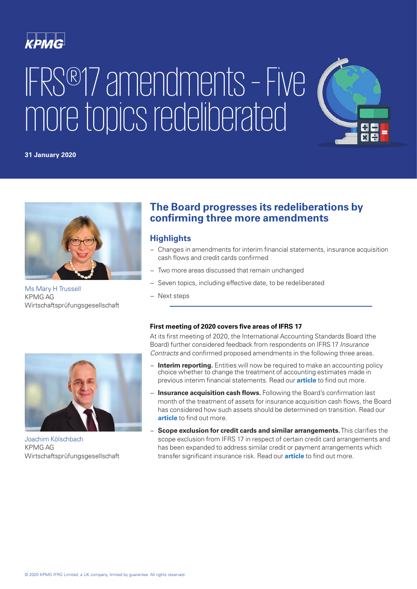

# IFRS®17 amendments – Five more topics redeliberated



#### **31 January 2020**



[Ms Mary H Trussell](https://home.kpmg.com/xx/en/home/contacts/t/mary-trussell.html) KPMG AG Wirtschaftsprüfungsgesellschaft



## **Highlights**

- − Changes in amendments for interim financial statements, insurance acquisition cash flows and credit cards confirmed
- − Two more areas discussed that remain unchanged
- Seven topics, including effective date, to be redeliberated
- − Next steps



[Joachim Kölschbach](https://home.kpmg.com/xx/en/home/contacts/k/joachim-koelschbach.html) KPMG AG Wirtschaftsprüfungsgesellschaft

#### **First meeting of 2020 covers five areas of IFRS 17**

At its first meeting of 2020, the International Accounting Standards Board (the Board) further considered feedback from respondents on IFRS17 *Insurance Contracts* and confirmed proposed amendments in the following three areas.

- **Interim reporting.** Entities will now be required to make an accounting policy choice whether to change the treatment of accounting estimates made in previous interim financial statements. Read our **[article](https://home.kpmg/xx/en/home/insights/2018/02/ifrs17-transition-trg-newsletter-insurance-contractual-service-margin.html)** to find out more.
- − **Insurance acquisition cash flows.** Following the Board's confirmation last month of the treatment of assets for insurance acquisition cash flows, the Board has considered how such assets should be determined on transition. Read our **[article](https://home.kpmg/xx/en/home/insights/2018/02/ifrs17-transition-trg-newsletter-insurance-transition-requirements.html)** to find out more.
- Scope exclusion for credit cards and similar arrangements. This clarifies the scope exclusion from IFRS 17 in respect of certain credit card arrangements and has been expanded to address similar credit or payment arrangements which transfer significant insurance risk. Read our **[article](https://home.kpmg/xx/en/home/insights/2018/02/ifrs17-transition-trg-newsletter-insurance-identifying-contract.html)** to find out more.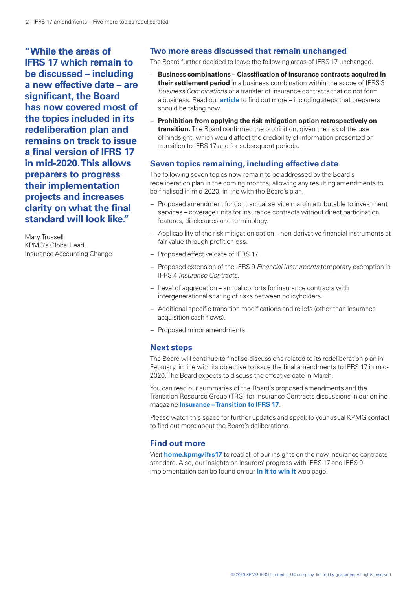**"While the areas of IFRS 17 which remain to be discussed – including a new effective date – are significant, the Board has now covered most of the topics included in its redeliberation plan and remains on track to issue a final version of IFRS 17 in mid-2020. This allows preparers to progress their implementation projects and increases clarity on what the final standard will look like."**

Mary Trussell KPMG's Global Lead, Insurance Accounting Change

## **Two more areas discussed that remain unchanged**

The Board further decided to leave the following areas of IFRS 17 unchanged.

- − **Business combinations Classification of insurance contracts acquired in their settlement period** in a business combination within the scope of IFRS 3 *Business Combinations* or a transfer of insurance contracts that do not form a business. Read our **[article](https://home.kpmg/xx/en/home/insights/2018/02/ifrs17-transition-trg-newsletter-insurance-contractual-service-margin.html)** to find out more – including steps that preparers should be taking now.
- − **Prohibition from applying the risk mitigation option retrospectively on transition.** The Board confirmed the prohibition, given the risk of the use of hindsight, which would affect the credibility of information presented on transition to IFRS 17 and for subsequent periods.

#### **Seven topics remaining, including effective date**

The following seven topics now remain to be addressed by the Board's redeliberation plan in the coming months, allowing any resulting amendments to be finalised in mid-2020, in line with the Board's plan.

- − Proposed amendment for contractual service margin attributable to investment services – coverage units for insurance contracts without direct participation features, disclosures and terminology.
- − Applicability of the risk mitigation option non-derivative financial instruments at fair value through profit or loss.
- − Proposed effective date of IFRS 17.
- − Proposed extension of the IFRS 9 *Financial Instruments* temporary exemption in IFRS 4 *Insurance Contracts*.
- − Level of aggregation annual cohorts for insurance contracts with intergenerational sharing of risks between policyholders.
- − Additional specific transition modifications and reliefs (other than insurance acquisition cash flows).
- − Proposed minor amendments.

#### **Next steps**

The Board will continue to finalise discussions related to its redeliberation plan in February, in line with its objective to issue the final amendments to IFRS 17 in mid-2020. The Board expects to discuss the effective date in March.

You can read our summaries of the Board's proposed amendments and the Transition Resource Group (TRG) for Insurance Contracts discussions in our online magazine **[Insurance – Transition to IFRS 17](https://home.kpmg/xx/en/home/insights/2018/01/ifrs17-transition-trg-newsletter.html)**.

Please watch this space for further updates and speak to your usual KPMG contact to find out more about the Board's deliberations.

#### **Find out more**

Visit **[home.kpmg/ifrs17](https://home.kpmg/xx/en/home/services/audit/international-financial-reporting-standards/insurers.html)** to read all of our insights on the new insurance contracts standard. Also, our insights on insurers' progress with IFRS 17 and IFRS 9 implementation can be found on our **[In it to win it](https://home.kpmg/xx/en/home/insights/2018/09/in-it-to-win-it-ifrs-key-findings-fs.html)** web page.